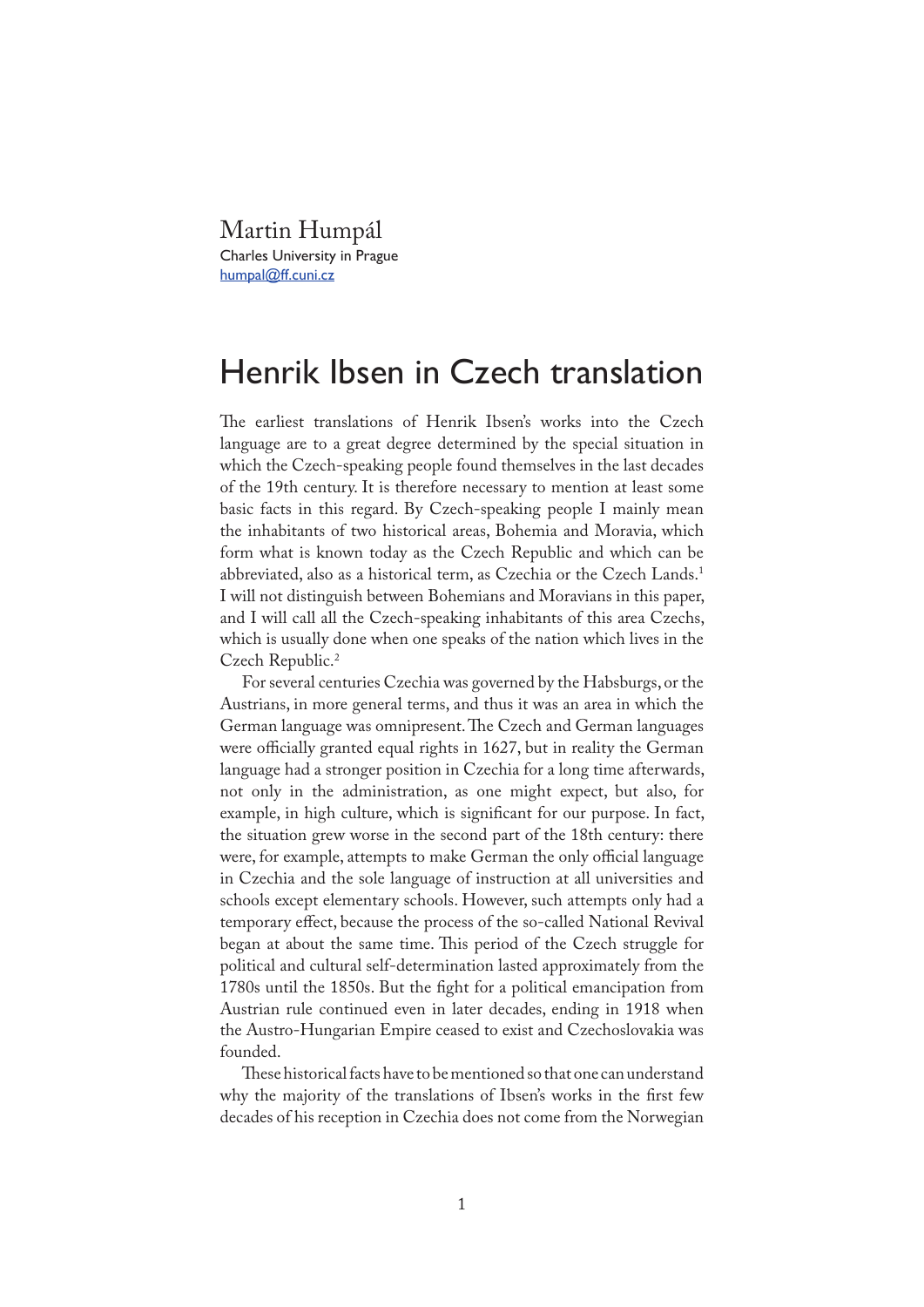Martin Humpál Charles University in Prague humpal@ff.cuni.cz

## Henrik Ibsen in Czech translation

�e earliest translations of Henrik Ibsen's works into the Czech language are to a great degree determined by the special situation in which the Czech-speaking people found themselves in the last decades of the 19th century. It is therefore necessary to mention at least some basic facts in this regard. By Czech-speaking people I mainly mean the inhabitants of two historical areas, Bohemia and Moravia, which form what is known today as the Czech Republic and which can be abbreviated, also as a historical term, as Czechia or the Czech Lands.1 I will not distinguish between Bohemians and Moravians in this paper, and I will call all the Czech-speaking inhabitants of this area Czechs, which is usually done when one speaks of the nation which lives in the Czech Republic.2

For several centuries Czechia was governed by the Habsburgs, or the Austrians, in more general terms, and thus it was an area in which the German language was omnipresent. The Czech and German languages were officially granted equal rights in 1627, but in reality the German language had a stronger position in Czechia for a long time afterwards, not only in the administration, as one might expect, but also, for example, in high culture, which is significant for our purpose. In fact, the situation grew worse in the second part of the 18th century: there were, for example, attempts to make German the only official language in Czechia and the sole language of instruction at all universities and schools except elementary schools. However, such attempts only had a temporary effect, because the process of the so-called National Revival began at about the same time. This period of the Czech struggle for political and cultural self-determination lasted approximately from the 1780s until the 1850s. But the fight for a political emancipation from Austrian rule continued even in later decades, ending in 1918 when the Austro-Hungarian Empire ceased to exist and Czechoslovakia was founded.

These historical facts have to be mentioned so that one can understand why the majority of the translations of Ibsen's works in the first few decades of his reception in Czechia does not come from the Norwegian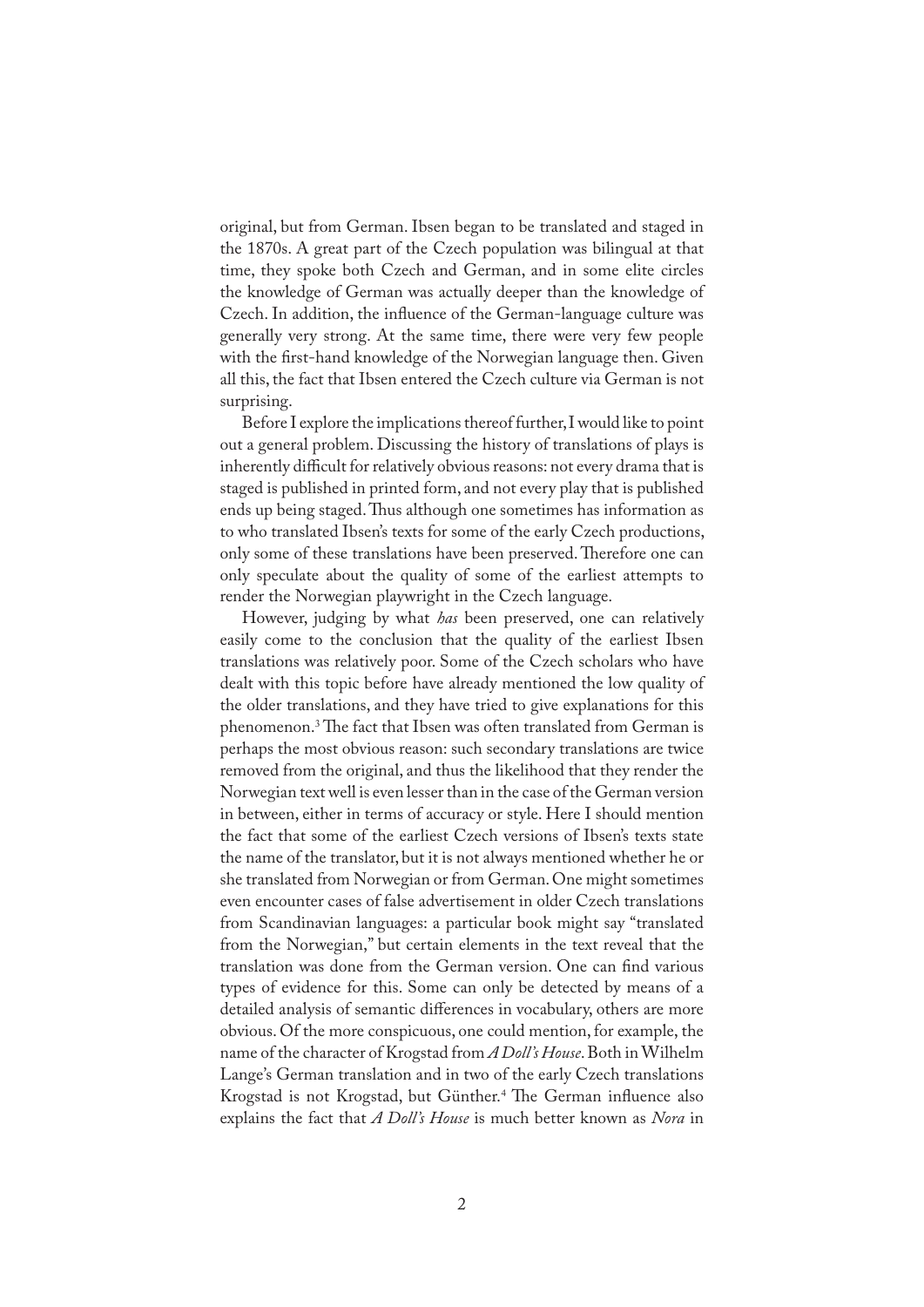original, but from German. Ibsen began to be translated and staged in the 1870s. A great part of the Czech population was bilingual at that time, they spoke both Czech and German, and in some elite circles the knowledge of German was actually deeper than the knowledge of Czech. In addition, the in�uence of the German-language culture was generally very strong. At the same time, there were very few people with the first-hand knowledge of the Norwegian language then. Given all this, the fact that Ibsen entered the Czech culture via German is not surprising.

Before I explore the implications thereof further, I would like to point out a general problem. Discussing the history of translations of plays is inherently difficult for relatively obvious reasons: not every drama that is staged is published in printed form, and not every play that is published ends up being staged. Thus although one sometimes has information as to who translated Ibsen's texts for some of the early Czech productions, only some of these translations have been preserved. Therefore one can only speculate about the quality of some of the earliest attempts to render the Norwegian playwright in the Czech language.

However, judging by what *has* been preserved, one can relatively easily come to the conclusion that the quality of the earliest Ibsen translations was relatively poor. Some of the Czech scholars who have dealt with this topic before have already mentioned the low quality of the older translations, and they have tried to give explanations for this phenomenon.<sup>3</sup> The fact that Ibsen was often translated from German is perhaps the most obvious reason: such secondary translations are twice removed from the original, and thus the likelihood that they render the Norwegian text well is even lesser than in the case of the German version in between, either in terms of accuracy or style. Here I should mention the fact that some of the earliest Czech versions of Ibsen's texts state the name of the translator, but it is not always mentioned whether he or she translated from Norwegian or from German. One might sometimes even encounter cases of false advertisement in older Czech translations from Scandinavian languages: a particular book might say "translated from the Norwegian," but certain elements in the text reveal that the translation was done from the German version. One can find various types of evidence for this. Some can only be detected by means of a detailed analysis of semantic differences in vocabulary, others are more obvious. Of the more conspicuous, one could mention, for example, the name of the character of Krogstad from *A Doll's House*. Both in Wilhelm Lange's German translation and in two of the early Czech translations Krogstad is not Krogstad, but Günther.<sup>4</sup> The German influence also explains the fact that *A Doll's House* is much better known as *Nora* in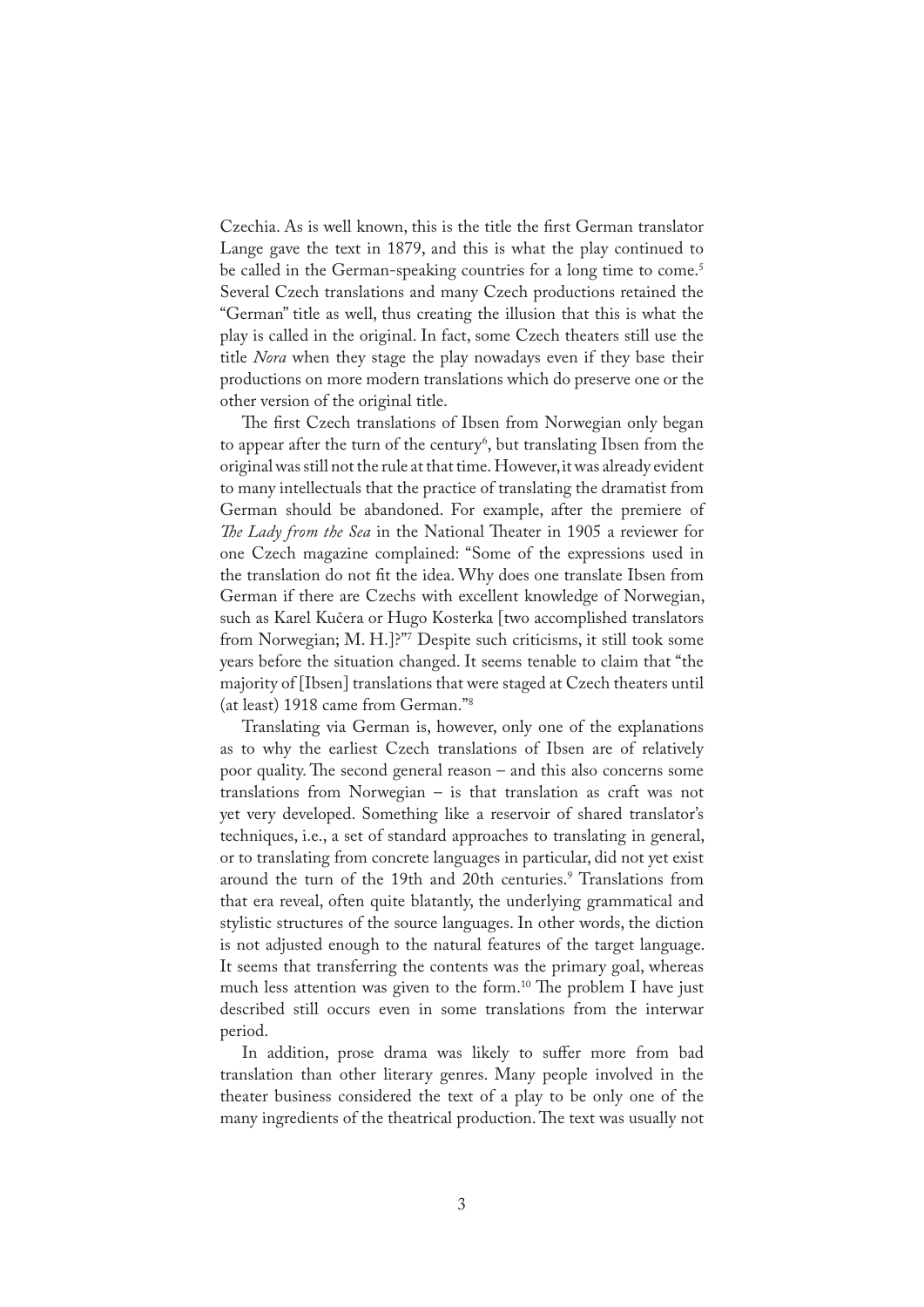Czechia. As is well known, this is the title the first German translator Lange gave the text in 1879, and this is what the play continued to be called in the German-speaking countries for a long time to come.<sup>5</sup> Several Czech translations and many Czech productions retained the "German" title as well, thus creating the illusion that this is what the play is called in the original. In fact, some Czech theaters still use the title *Nora* when they stage the play nowadays even if they base their productions on more modern translations which do preserve one or the other version of the original title.

The first Czech translations of Ibsen from Norwegian only began to appear after the turn of the century<sup>6</sup>, but translating Ibsen from the original was still not the rule at that time. However, it was already evident to many intellectuals that the practice of translating the dramatist from German should be abandoned. For example, after the premiere of *The Lady from the Sea* in the National Theater in 1905 a reviewer for one Czech magazine complained: "Some of the expressions used in the translation do not �t the idea. Why does one translate Ibsen from German if there are Czechs with excellent knowledge of Norwegian, such as Karel Kučera or Hugo Kosterka [two accomplished translators from Norwegian; M. H.]?"7 Despite such criticisms, it still took some years before the situation changed. It seems tenable to claim that "the majority of [Ibsen] translations that were staged at Czech theaters until (at least) 1918 came from German."8

Translating via German is, however, only one of the explanations as to why the earliest Czech translations of Ibsen are of relatively poor quality. The second general reason – and this also concerns some translations from Norwegian – is that translation as craft was not yet very developed. Something like a reservoir of shared translator's techniques, i.e., a set of standard approaches to translating in general, or to translating from concrete languages in particular, did not yet exist around the turn of the 19th and 20th centuries.<sup>9</sup> Translations from that era reveal, often quite blatantly, the underlying grammatical and stylistic structures of the source languages. In other words, the diction is not adjusted enough to the natural features of the target language. It seems that transferring the contents was the primary goal, whereas much less attention was given to the form.<sup>10</sup> The problem I have just described still occurs even in some translations from the interwar period.

In addition, prose drama was likely to suffer more from bad translation than other literary genres. Many people involved in the theater business considered the text of a play to be only one of the many ingredients of the theatrical production. The text was usually not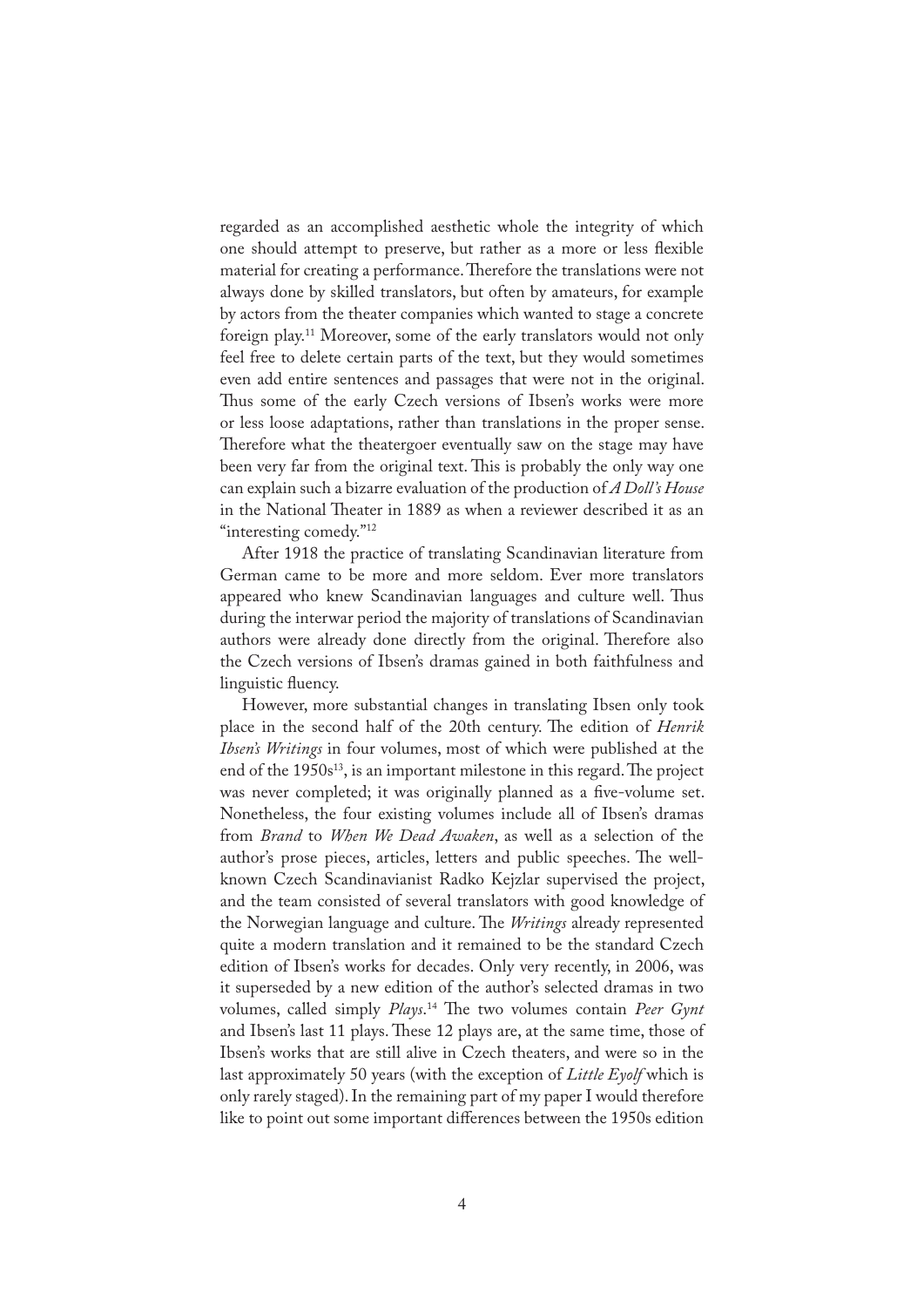regarded as an accomplished aesthetic whole the integrity of which one should attempt to preserve, but rather as a more or less flexible material for creating a performance. Therefore the translations were not always done by skilled translators, but often by amateurs, for example by actors from the theater companies which wanted to stage a concrete foreign play.11 Moreover, some of the early translators would not only feel free to delete certain parts of the text, but they would sometimes even add entire sentences and passages that were not in the original. Thus some of the early Czech versions of Ibsen's works were more or less loose adaptations, rather than translations in the proper sense. Therefore what the theatergoer eventually saw on the stage may have been very far from the original text. This is probably the only way one can explain such a bizarre evaluation of the production of *A Doll's House* in the National Theater in 1889 as when a reviewer described it as an "interesting comedy."<sup>12</sup>

After 1918 the practice of translating Scandinavian literature from German came to be more and more seldom. Ever more translators appeared who knew Scandinavian languages and culture well. Thus during the interwar period the majority of translations of Scandinavian authors were already done directly from the original. Therefore also the Czech versions of Ibsen's dramas gained in both faithfulness and linguistic fluency.

However, more substantial changes in translating Ibsen only took place in the second half of the 20th century. The edition of *Henrik Ibsen's Writings* in four volumes, most of which were published at the end of the  $1950s^{13}$ , is an important milestone in this regard. The project was never completed; it was originally planned as a five-volume set. Nonetheless, the four existing volumes include all of Ibsen's dramas from *Brand* to *When We Dead Awaken*, as well as a selection of the author's prose pieces, articles, letters and public speeches. The wellknown Czech Scandinavianist Radko Kejzlar supervised the project, and the team consisted of several translators with good knowledge of the Norwegian language and culture. The *Writings* already represented quite a modern translation and it remained to be the standard Czech edition of Ibsen's works for decades. Only very recently, in 2006, was it superseded by a new edition of the author's selected dramas in two volumes, called simply *Plays*. 14 �e two volumes contain *Peer Gynt* and Ibsen's last 11 plays. These 12 plays are, at the same time, those of Ibsen's works that are still alive in Czech theaters, and were so in the last approximately 50 years (with the exception of *Little Eyolf* which is only rarely staged). In the remaining part of my paper I would therefore like to point out some important differences between the 1950s edition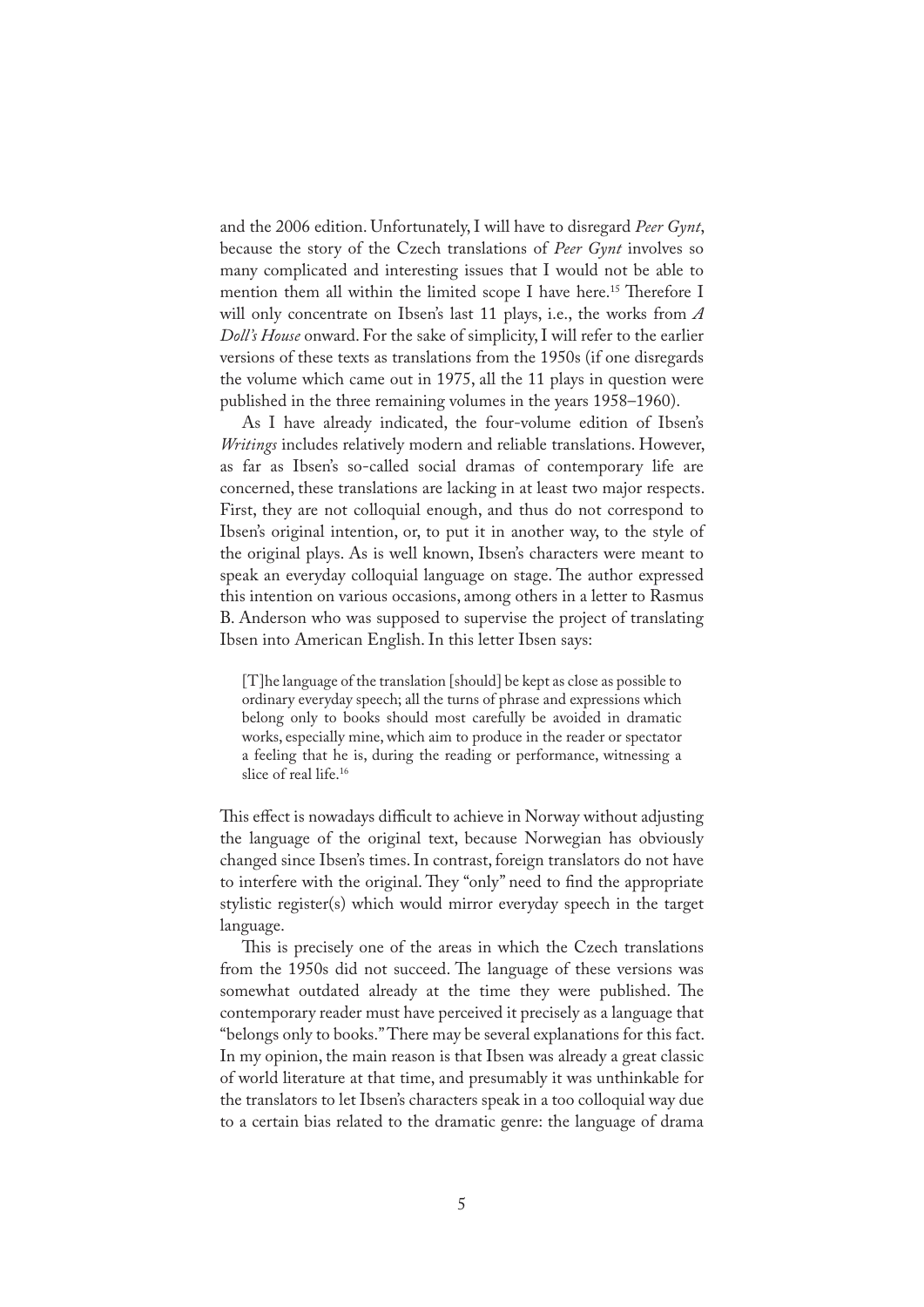and the 2006 edition. Unfortunately, I will have to disregard *Peer Gynt*, because the story of the Czech translations of *Peer Gynt* involves so many complicated and interesting issues that I would not be able to mention them all within the limited scope I have here.<sup>15</sup> Therefore I will only concentrate on Ibsen's last 11 plays, i.e., the works from *A Doll's House* onward. For the sake of simplicity, I will refer to the earlier versions of these texts as translations from the 1950s (if one disregards the volume which came out in 1975, all the 11 plays in question were published in the three remaining volumes in the years 1958–1960).

As I have already indicated, the four-volume edition of Ibsen's *Writings* includes relatively modern and reliable translations. However, as far as Ibsen's so-called social dramas of contemporary life are concerned, these translations are lacking in at least two major respects. First, they are not colloquial enough, and thus do not correspond to Ibsen's original intention, or, to put it in another way, to the style of the original plays. As is well known, Ibsen's characters were meant to speak an everyday colloquial language on stage. The author expressed this intention on various occasions, among others in a letter to Rasmus B. Anderson who was supposed to supervise the project of translating Ibsen into American English. In this letter Ibsen says:

[T]he language of the translation [should] be kept as close as possible to ordinary everyday speech; all the turns of phrase and expressions which belong only to books should most carefully be avoided in dramatic works, especially mine, which aim to produce in the reader or spectator a feeling that he is, during the reading or performance, witnessing a slice of real life.16

This effect is nowadays difficult to achieve in Norway without adjusting the language of the original text, because Norwegian has obviously changed since Ibsen's times. In contrast, foreign translators do not have to interfere with the original. They "only" need to find the appropriate stylistic register(s) which would mirror everyday speech in the target language.

This is precisely one of the areas in which the Czech translations from the 1950s did not succeed. The language of these versions was somewhat outdated already at the time they were published. The contemporary reader must have perceived it precisely as a language that "belongs only to books." There may be several explanations for this fact. In my opinion, the main reason is that Ibsen was already a great classic of world literature at that time, and presumably it was unthinkable for the translators to let Ibsen's characters speak in a too colloquial way due to a certain bias related to the dramatic genre: the language of drama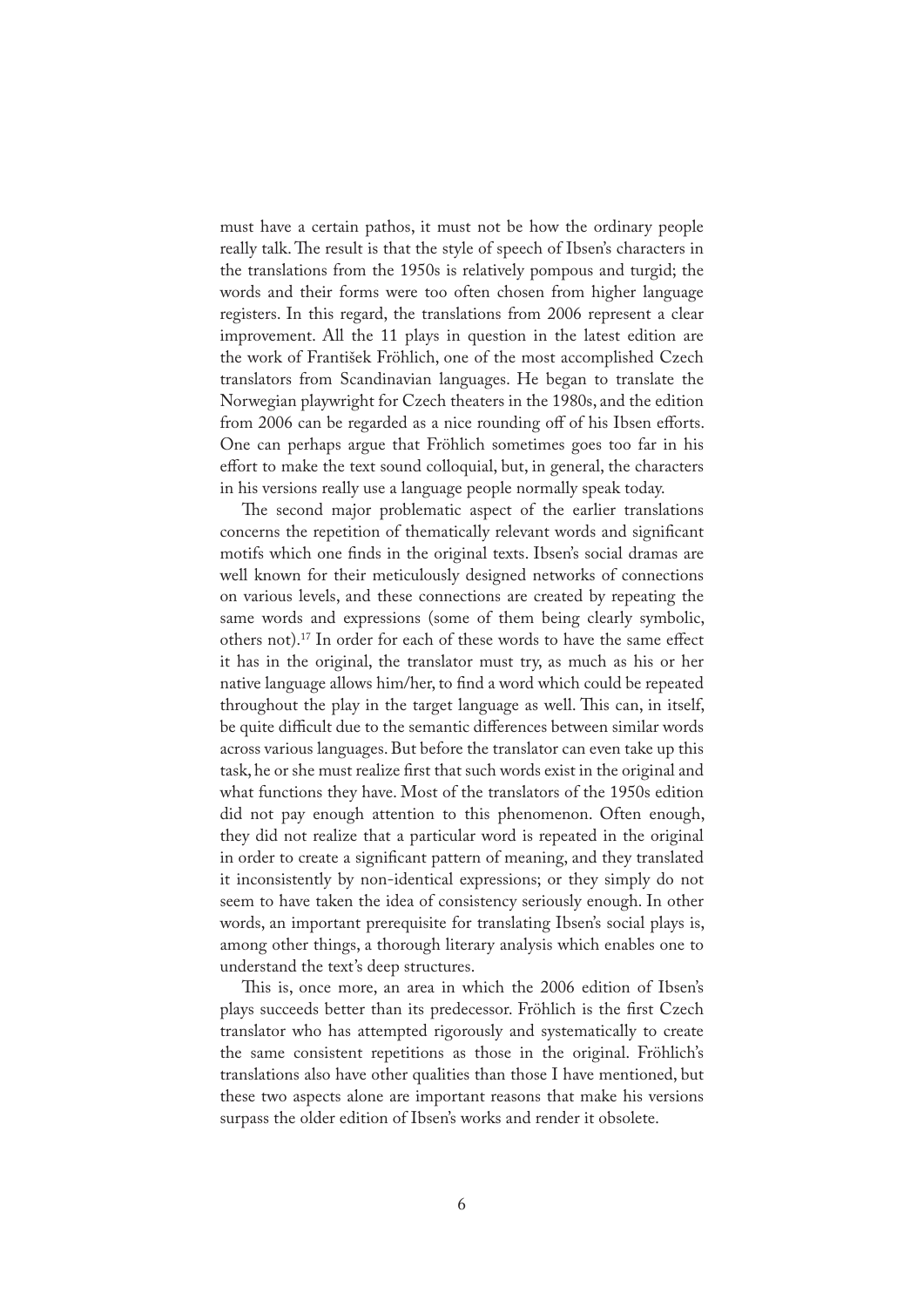must have a certain pathos, it must not be how the ordinary people really talk. The result is that the style of speech of Ibsen's characters in the translations from the 1950s is relatively pompous and turgid; the words and their forms were too often chosen from higher language registers. In this regard, the translations from 2006 represent a clear improvement. All the 11 plays in question in the latest edition are the work of František Fröhlich, one of the most accomplished Czech translators from Scandinavian languages. He began to translate the Norwegian playwright for Czech theaters in the 1980s, and the edition from 2006 can be regarded as a nice rounding off of his Ibsen efforts. One can perhaps argue that Fröhlich sometimes goes too far in his effort to make the text sound colloquial, but, in general, the characters in his versions really use a language people normally speak today.

The second major problematic aspect of the earlier translations concerns the repetition of thematically relevant words and significant motifs which one finds in the original texts. Ibsen's social dramas are well known for their meticulously designed networks of connections on various levels, and these connections are created by repeating the same words and expressions (some of them being clearly symbolic, others not).17 In order for each of these words to have the same effect it has in the original, the translator must try, as much as his or her native language allows him/her, to find a word which could be repeated throughout the play in the target language as well. This can, in itself, be quite difficult due to the semantic differences between similar words across various languages. But before the translator can even take up this task, he or she must realize first that such words exist in the original and what functions they have. Most of the translators of the 1950s edition did not pay enough attention to this phenomenon. Often enough, they did not realize that a particular word is repeated in the original in order to create a significant pattern of meaning, and they translated it inconsistently by non-identical expressions; or they simply do not seem to have taken the idea of consistency seriously enough. In other words, an important prerequisite for translating Ibsen's social plays is, among other things, a thorough literary analysis which enables one to understand the text's deep structures.

This is, once more, an area in which the 2006 edition of Ibsen's plays succeeds better than its predecessor. Fröhlich is the first Czech translator who has attempted rigorously and systematically to create the same consistent repetitions as those in the original. Fröhlich's translations also have other qualities than those I have mentioned, but these two aspects alone are important reasons that make his versions surpass the older edition of Ibsen's works and render it obsolete.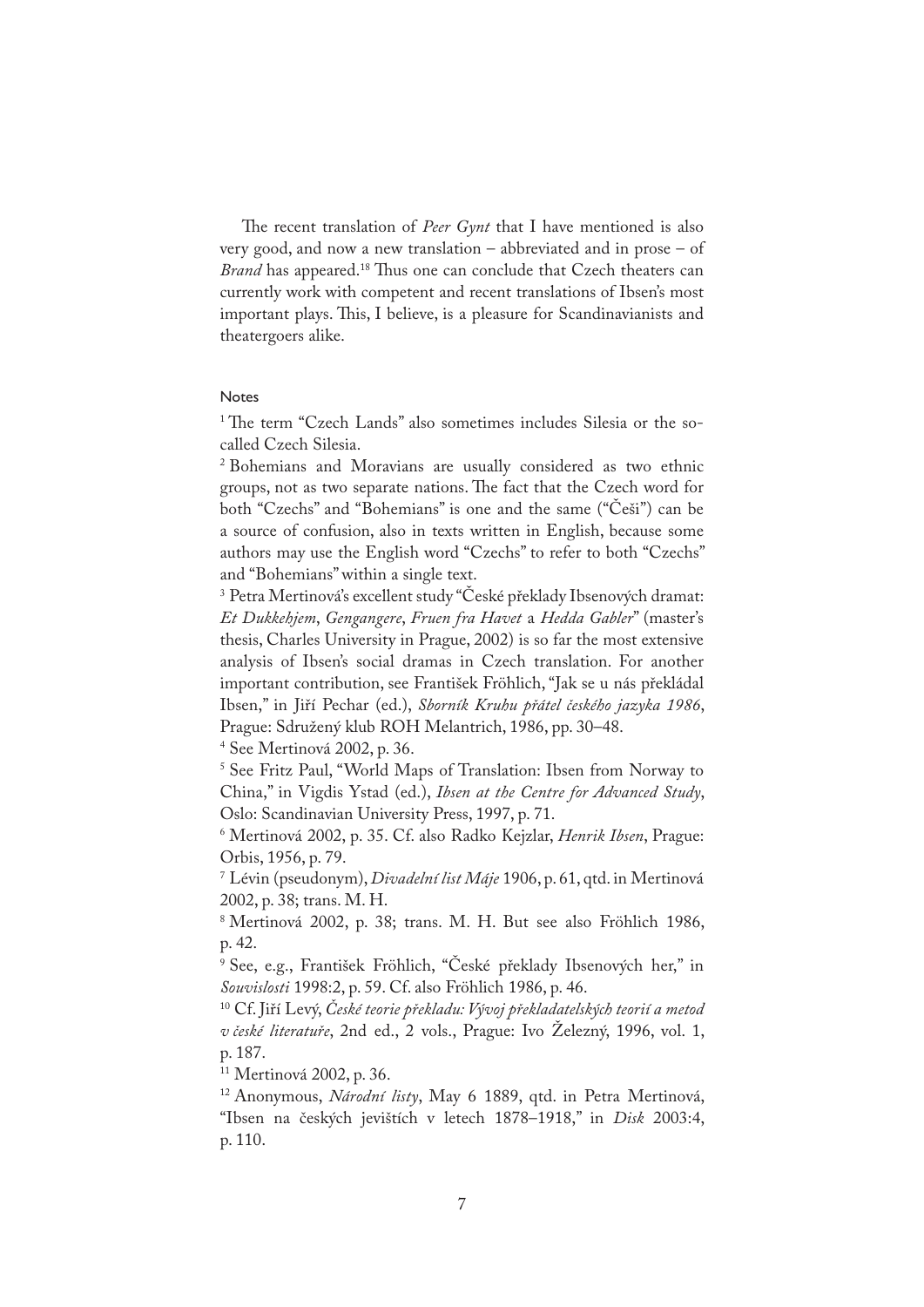�e recent translation of *Peer Gynt* that I have mentioned is also very good, and now a new translation – abbreviated and in prose – of *Brand* has appeared.<sup>18</sup> Thus one can conclude that Czech theaters can currently work with competent and recent translations of Ibsen's most important plays. This, I believe, is a pleasure for Scandinavianists and theatergoers alike.

## Notes

<sup>1</sup> The term "Czech Lands" also sometimes includes Silesia or the socalled Czech Silesia.

<sup>2</sup> Bohemians and Moravians are usually considered as two ethnic groups, not as two separate nations. The fact that the Czech word for both "Czechs" and "Bohemians" is one and the same ("Češi") can be a source of confusion, also in texts written in English, because some authors may use the English word "Czechs" to refer to both "Czechs" and "Bohemians" within a single text.

<sup>3</sup> Petra Mertinová's excellent study "České překlady Ibsenových dramat: *Et Dukkehjem*, *Gengangere*, *Fruen fra Havet* a *Hedda Gabler*" (master's thesis, Charles University in Prague, 2002) is so far the most extensive analysis of Ibsen's social dramas in Czech translation. For another important contribution, see František Fröhlich, "Jak se u nás překládal Ibsen," in Jiří Pechar (ed.), *Sborník Kruhu přátel českého jazyka 1986*, Prague: Sdružený klub ROH Melantrich, 1986, pp. 30–48.

<sup>4</sup> See Mertinová 2002, p. 36.

<sup>5</sup> See Fritz Paul, "World Maps of Translation: Ibsen from Norway to China," in Vigdis Ystad (ed.), *Ibsen at the Centre for Advanced Study*, Oslo: Scandinavian University Press, 1997, p. 71.

<sup>6</sup> Mertinová 2002, p. 35. Cf. also Radko Kejzlar, *Henrik Ibsen*, Prague: Orbis, 1956, p. 79.

<sup>7</sup> Lévin (pseudonym), *Divadelní list Máje* 1906, p. 61, qtd. in Mertinová 2002, p. 38; trans. M. H.

<sup>8</sup> Mertinová 2002, p. 38; trans. M. H. But see also Fröhlich 1986, p. 42.

<sup>9</sup> See, e.g., František Fröhlich, "České překlady Ibsenových her," in *Souvislosti* 1998:2, p. 59. Cf. also Fröhlich 1986, p. 46.

<sup>10</sup> Cf. Jiří Levý, *České teorie překladu: Vývoj překladatelských teorií a metod v české literatuře*, 2nd ed., 2 vols., Prague: Ivo Železný, 1996, vol. 1, p. 187.

<sup>11</sup> Mertinová 2002, p. 36.

<sup>12</sup> Anonymous, *Národní listy*, May 6 1889, qtd. in Petra Mertinová, "Ibsen na českých jevištích v letech 1878–1918," in *Disk* 2003:4, p. 110.